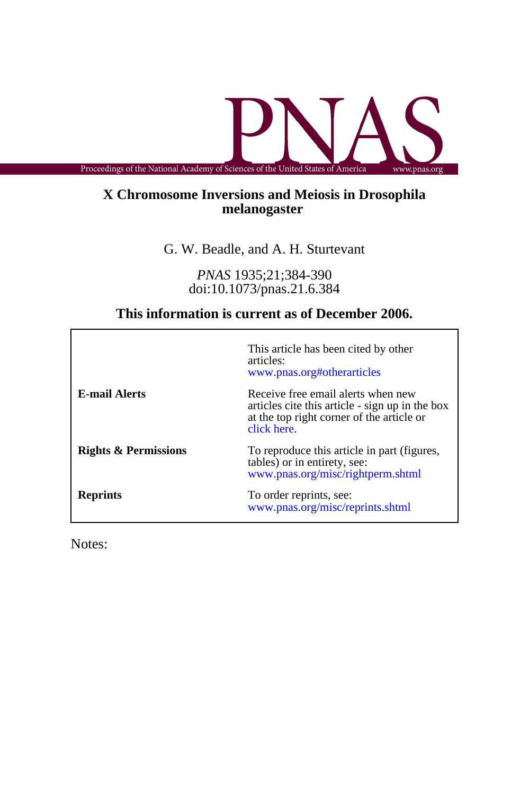Proceedings of the National Academy of Sciences of the United States of America www.pnas.org

## **melanogaster X Chromosome Inversions and Meiosis in Drosophila**

G. W. Beadle, and A. H. Sturtevant

doi:10.1073/pnas.21.6.384 *PNAS* 1935;21;384-390

# **This information is current as of December 2006.**

|                                 | This article has been cited by other<br>articles:<br>www.pnas.org#otherarticles                                                                   |
|---------------------------------|---------------------------------------------------------------------------------------------------------------------------------------------------|
| <b>E-mail Alerts</b>            | Receive free email alerts when new<br>articles cite this article - sign up in the box<br>at the top right corner of the article or<br>click here. |
| <b>Rights &amp; Permissions</b> | To reproduce this article in part (figures,<br>tables) or in entirety, see:<br>www.pnas.org/misc/rightperm.shtml                                  |
| <b>Reprints</b>                 | To order reprints, see:<br>www.pnas.org/misc/reprints.shtml                                                                                       |

Notes: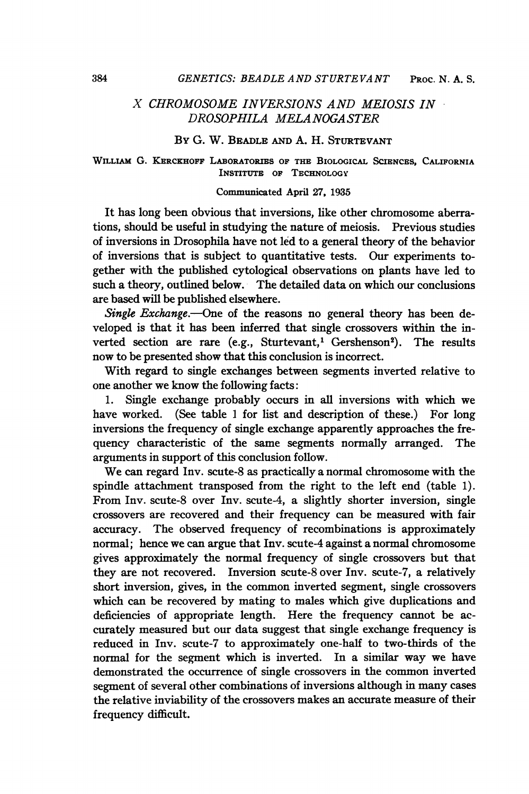### X CHROMOSOME INVERSIONS AND MEIOSIS IN DROSOPHILA MELANOGASTER

#### By G. W. BEADLE AND A. H. STURTEVANT

#### WILLIAm G. KERCKHOFF LABORATORIES OF THE BIOLOGICAL SCIENCES, CALIFORNIA INSTITUTE OF TECHNOLOGY

#### Communicated April 27. 1935

It has long been obvious that inversions, like other chromosome aberrations, should be useful in studying the nature of meiosis. Previous studies of inversions in Drosophila have not led to a general theory of the behavior of inversions that is subject to quantitative tests. Our experiments together with the published cytological observations on plants have led to such a theory, outlined below. The detailed data on which our conclusions are based will be published elsewhere.

Single Exchange.-- One of the reasons no general theory has been developed is that it has been inferred that single crossovers within the inverted section are rare (e.g., Sturtevant,<sup>1</sup> Gershenson<sup>2</sup>). The results now to be presented show that this conclusion is incorrect.

With regard to single exchanges between segments inverted relative to one another we know the following facts:

1. Single exchange probably occurs in all inversions with which we have worked. (See table 1 for list and description of these.) For long inversions the frequency of single exchange apparently approaches the frequency characteristic of the same segments normally arranged. The arguments in support of this conclusion follow.

We can regard Inv. scute-8 as practically <sup>a</sup> normal chromosome with the spindle attachment transposed from the right to the left end (table 1). From Inv. scute-8 over Inv. scute-4, a slightly shorter inversion, single crossovers are recovered and their frequency can be measured with fair accuracy. The observed frequency of recombinations is approximately normal; hence we can argue that Inv. scute-4 against a normal chromosome gives approximately the normal frequency of single crossovers but that they are not recovered. Inversion scute-8 over Inv. scute-7, a relatively short inversion, gives, in the common inverted segment, single crossovers which can be recovered by mating to males which give duplications and deficiencies of appropriate length. Here the frequency cannot be accurately measured but our data suggest that single exchange frequency is reduced in Inv. scute-7 to approximately one-half to two-thirds of the normal for the segment which is inverted. In a similar way we have demonstrated the occurrence of single crossovers in the common inverted segment of several other combinations of inversions although in many cases the relative inviability of the crossovers makes an accurate measure of their frequency difficult.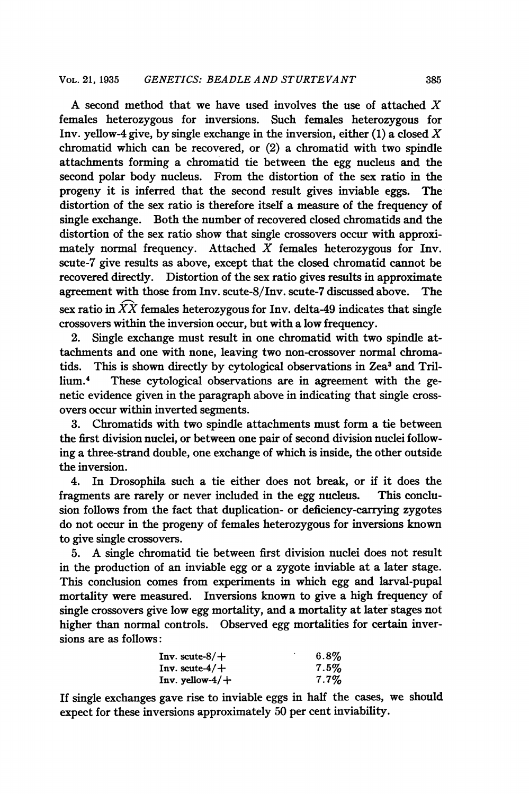A second method that we have used involves the use of attached  $X$ females heterozygous for inversions. Such females heterozygous for Inv. yellow-4 give, by single exchange in the inversion, either  $(1)$  a closed  $X$ chromatid which can be recovered, or  $(2)$  a chromatid with two spindle attachments forming a chromatid tie between the egg nucleus and the second polar body nucleus. From the distortion of the sex ratio in the progeny it is inferred that the second result gives inviable eggs. The distortion of the sex ratio is therefore itself a measure of the frequency of single exchange. Both the number of recovered closed chromatids and the distortion of the sex ratio show that single crossovers occur with approximately normal frequency. Attached  $X$  females heterozygous for Inv. scute-7 give results as above, except that the closed chromatid cannot be recovered directly. Distortion of the sex ratio gives results in approximate agreement with those from Inv. scute-8/Inv. scute-7 discussed above. The sex ratio in  $\widehat{XX}$  females heterozygous for Inv. delta-49 indicates that single crossovers within the inversion occur, but with a low frequency.

2. Single exchange must result in one chromatid with two spindle attachments and one with none, leaving two non-crossover normal chromatids. This is shown directly by cytological observations in Zea<sup>3</sup> and Trillium.4 These cytological observations are in agreement with the genetic evidence given in the paragraph above in indicating that single crossovers occur within inverted segments.

3. Chromatids with two spindle attachments must form a tie between the first division nuclei, or between one pair of second division nuclei following a three-strand double, one exchange of which is inside, the other outside the inversion.

4. In Drosophila such a tie either does not break, or if it does the fragments are rarely or never included in the egg nucleus. This conclusion follows from the fact that duplication- or deficiency-carrying zygotes do not occur in the progeny of females heterozygous for inversions known to give single crossovers.

5. A single chromatid tie between first division nuclei does not result in the production of an inviable egg or a zygote inviable at a later stage. This conclusion comes from experiments in which egg and larval-pupal mortality were measured. Inversions known to give a high frequency of single crossovers give low egg mortality, and a mortality at later stages not higher than normal controls. Observed egg mortalities for certain inversions are as follows:

| Inv. scute- $8/+$  | $6.8\%$ |
|--------------------|---------|
| Inv. scute- $4/+$  | $7.5\%$ |
| Inv. yellow- $4/+$ | $7.7\%$ |

If single exchanges gave rise to inviable eggs in half the cases, we should expect for these inversions approximately 50 per cent inviability.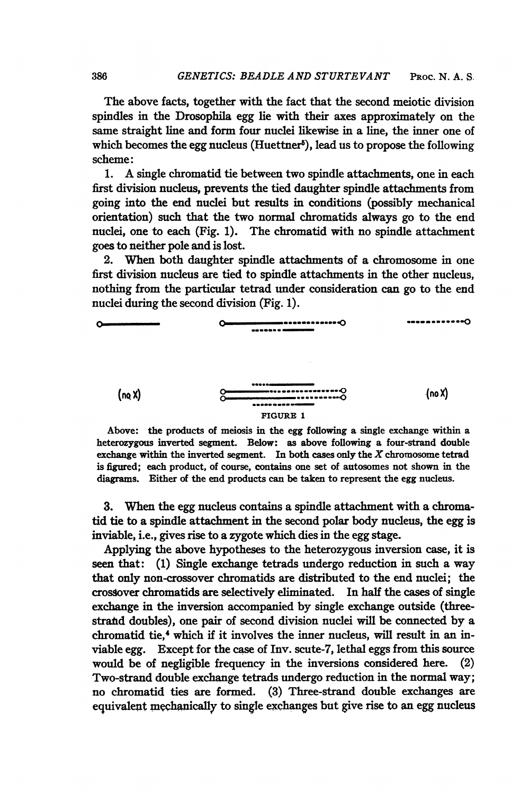The above facts, together with the fact that the second meiotic division spindles in the Drosophila egg lie with their axes approximately on the same straight line and form four nuclei likewise in a line, the inner one of which becomes the egg nucleus (Huettner<sup>5</sup>), lead us to propose the following scheme:

1. A single chromatid tie between two spindle attachments, one in each first division nucleus, prevents the tied daughter spindle attachments from going into the end nuclei but results in conditions (possibly mechanical orientation) such that the two normal chromatids always go to the end nuclei, one to each (Fig. 1). The chromatid with no spindle attachment goes to neither pole and is lost.

2. When both daughter spindle attachments of a chromosome in one first division nucleus are tied to spindle attachments in the other nucleus, nothing from the particular tetrad under consideration can go to the end nuclei during the second division (Fig. 1).



Above: the products of meiosis in the egg following a single exchange within a heterozygous inverted segment. Below: as above following a four-strand double exchange within the inverted segment. In both cases only the  $X$  chromosome tetrad is figured; each product, of course, contains one set of autosomes not shown in the diagrams. Either of the end products can be taken to represent the egg nucleus.

3. When the egg nucleus contains a spindle attachment with a chromatid tie to a spindle attachment in the second polar body nucleus, the egg is inviable, i.e., gives rise to a zygote which dies in the egg stage.

Applying the above hypotheses to the heterozygous inversion case, it is seen that: (1) Single exchange tetrads undergo reduction in such a way that only non-crossover chromatids are distributed to the end nuclei; the crossover chromatids are selectively eliminated. In half the cases of single exchange in the inversion accompanied by single exchange outside (threestrand doubles), one pair of second division nuclei will be connected by a chromatid tie.<sup>4</sup> which if it involves the inner nucleus, will result in an inviable egg. Except for the case of Inv. scute-7, lethal eggs from this source would be of negligible frequency in the inversions considered here. (2) Two-strand double exchange tetrads undergo reduction in the normal way; no chromatid ties are formed. (3) Three-strand double exchanges are equivalent mechanically to single exchanges but give rise to an egg nucleus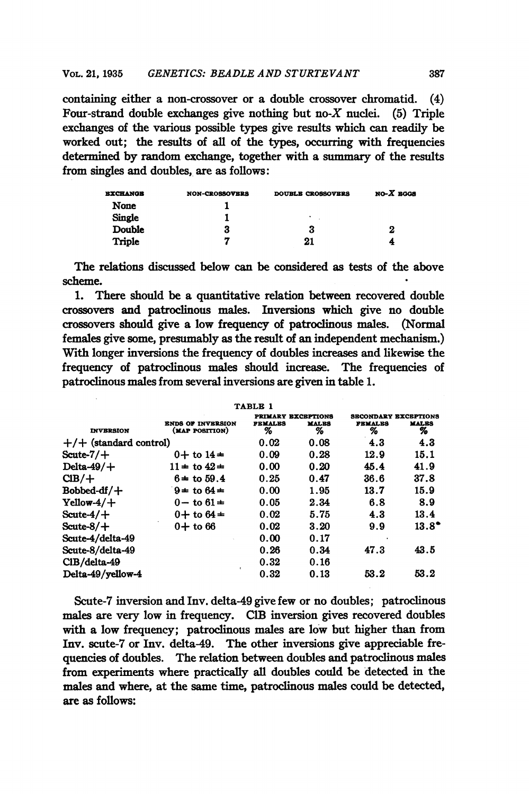containing either a non-crossover or a double crossover chromatid. (4) Four-strand double exchanges give nothing but no- $X$  nuclei. (5) Triple exchanges of the various possible types give results which can readily be worked out; the results of all of the types, occurring with frequencies determined by random exchange, together with a summary of the results from singles and doubles, are as follows:

| <b>EXCHANGE</b> | <b>NON-CROSSOVERS</b> | <b>DOUBLE CROSSOVERS</b> | $NO-X$ EGGS |
|-----------------|-----------------------|--------------------------|-------------|
| None            |                       |                          |             |
| <b>Single</b>   |                       | ٠                        |             |
| Double          | 3                     | 3                        | 2           |
| Triple          | 7                     | 21                       | 4           |

The relations discussed below can be considered as tests of the above scheme.

1. There should be a quantitative relation between recovered double crossovers and patroclinous males. Inversions which give no double crossovers should give a low frequency of patroclinous males. (Normal females give some, presumably as the result of an independent mechanism.) With longer inversions the frequency of doubles increases and likewise the frequency of patroclinous males should increase. The frequencies of patroclinous males from several inversions are given in table 1.

|                          |                                            | TABLE 1                                          |                   |                                                    |                   |
|--------------------------|--------------------------------------------|--------------------------------------------------|-------------------|----------------------------------------------------|-------------------|
| <b>INVERSION</b>         | <b>ENDS OF INVERSION</b><br>(MAP POSITION) | <b>PRIMARY EXCRPTIONS</b><br><b>FEMALES</b><br>% | <b>MALES</b><br>% | <b>SECONDARY EXCEPTIONS</b><br><b>FEMALES</b><br>% | <b>MALES</b><br>% |
| $+/-$ (standard control) |                                            | 0.02                                             | 0.08              | 4.3                                                | 4.3               |
| Scute- $7/+$             | $0+$ to $14+$                              | 0.09                                             | 0.28              | 12.9                                               | 15.1              |
| Delta- $49/+$            | $11 \pm$ to $42 \pm$                       | 0.00                                             | 0.20              | 45.4                                               | 41.9              |
| $CIB/+$                  | $6 +$ to 59.4                              | 0.25                                             | 0.47              | 36.6                                               | 37.8              |
| Bobbed-df/ $+$           | $9 \pm$ to $64 \pm$                        | 0.00                                             | 1.95              | 13.7                                               | 15.9              |
| $Yellow-4/+$             | $0 -$ to $61 \pm$                          | 0.05                                             | 2.34              | 6.8                                                | 8.9               |
| Scute- $4/+$             | 0+ to $64 \pm$                             | 0.02                                             | 5.75              | 4.3                                                | 13.4              |
| Scute- $8/+$             | $0+$ to 66                                 | 0.02                                             | 3.20              | 9.9                                                | $13.8^\bullet$    |
| Scute-4/delta-49         |                                            | 0.00                                             | 0.17              |                                                    |                   |
| Scute-8/delta-49         |                                            | 0.26                                             | 0.34              | 47.3                                               | 43.5              |
| CIB/delta-49             |                                            | 0.32                                             | 0.16              |                                                    |                   |
| Delta-49/vellow-4        |                                            | 0.32                                             | 0.13              | 53.2                                               | 53.2              |

Scute-7 inversion and Inv. delta-49 give few or no doubles; patroclinous males are very low in frequency. ClB inversion gives recovered doubles with a low frequency; patroclinous males are low but higher than from Inv. scute-7 or Inv. delta49. The other inversions give appreciable frequencies of doubles. The relation between doubles and patroclinous males from experiments where practically all doubles could be detected in the males and where, at the same time, patroclinous males could be detected, are as follows: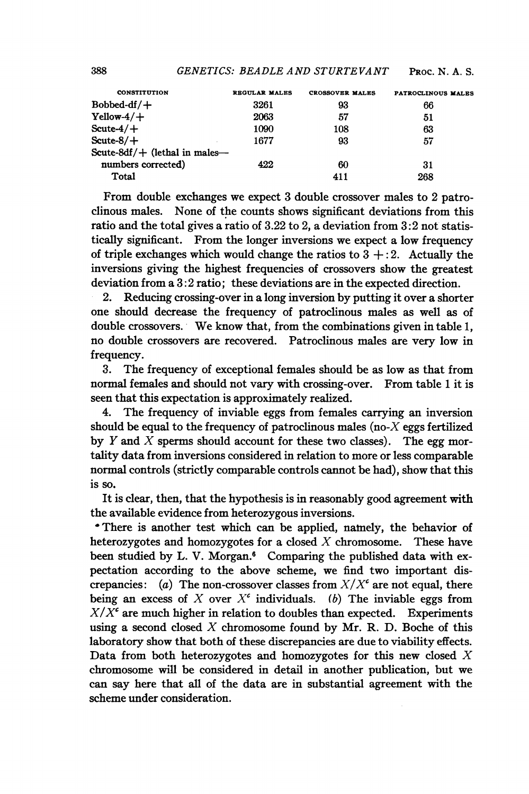| <b>CONSTITUTION</b>              | <b>REGULAR MALES</b> | <b>CROSSOVER MALES</b> | PATROCLINOUS MALES |
|----------------------------------|----------------------|------------------------|--------------------|
| $Bobbed-df/+$                    | 3261                 | 93                     | 66                 |
| $Yellow-4/+$                     | 2063                 | 57                     | 51                 |
| $\text{Scute-4}/+$               | 1090                 | 108                    | 63                 |
| $\text{Scute-8}/+$               | 1677                 | 93                     | 57                 |
| Scute-8df/ $+$ (lethal in males- |                      |                        |                    |
| numbers corrected)               | 422                  | 60                     | 31                 |
| Total                            |                      | 411                    | 268                |

From double exchanges we expect 3 double crossover males to 2 patroclinous males. None of the counts shows significant deviations from this ratio and the total gives a ratio of 3.22 to 2, a deviation from 3:2 not statistically significant. From the longer inversions we expect a low frequency of triple exchanges which would change the ratios to  $3 + 2$ . Actually the inversions giving the highest frequencies of crossovers show the greatest deviation from a 3:2 ratio; these deviations are in the expected direction.

2. Reducing crossing-over in a long inversion by putting it over a shorter one should decrease the frequency of patroclinous males as well as of double crossovers. We know that, from the combinations given in table 1, no double crossovers are recovered. Patroclinous males are very low in frequency.

3. The frequency of exceptional females should be as low as that from normal females and should not vary with crossing-over. From table <sup>1</sup> it is seen that this expectation is approximately realized.

4. The frequency of inviable eggs from females carrying an inversion should be equal to the frequency of patroclinous males (no- $X$  eggs fertilized by Y and X sperms should account for these two classes). The egg mortality data from inversions considered in relation to more or less comparable normal controls (strictly comparable controls cannot be had), show that this is so.

It is clear, then, that the hypothesis is in reasonably good agreement with the available evidence from heterozygous inversions.

'There is another test which can be applied, natnely, the behavior of heterozygotes and homozygotes for a closed  $X$  chromosome. These have been studied by L. V. Morgan.<sup>6</sup> Comparing the published data with expectation according to the above scheme, we find two important discrepancies: (a) The non-crossover classes from  $X/X<sup>c</sup>$  are not equal, there being an excess of X over  $X^c$  individuals. (b) The inviable eggs from  $X/X^c$  are much higher in relation to doubles than expected. Experiments using a second closed  $X$  chromosome found by Mr. R. D. Boche of this laboratory show that both of these discrepancies are due to viability effects. Data from both heterozygotes and homozygotes for this new closed  $X$ chromosome will be considered in detail in another publication, but we can say here that all of the data are in substantial agreement with the scheme under consideration.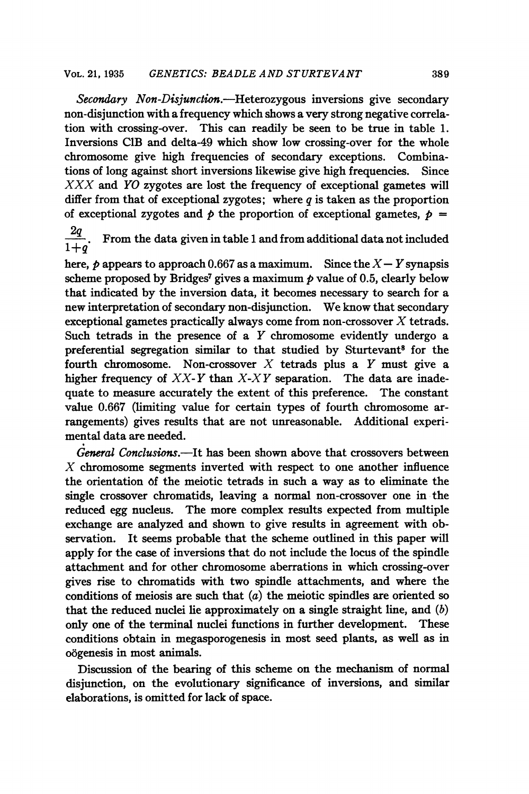Secondary Non-Disjunction.—Heterozygous inversions give secondary non-disjunction with a frequency which shows a very strong negative correlation with crossing-over. This can readily be seen to be true in table 1. Inversions CIB and delta-49 which show low crossing-over for the whole chromosome give high frequencies of secondary exceptions. Combinations of long against short inversions likewise give high frequencies. Since  $XXX$  and  $YO$  zygotes are lost the frequency of exceptional gametes will differ from that of exceptional zygotes; where  $q$  is taken as the proportion of exceptional zygotes and  $\phi$  the proportion of exceptional gametes,  $\phi$  =

 $\frac{2q}{1+q}$ . From the data given in table 1 and from additional data not included

here,  $p$  appears to approach 0.667 as a maximum. Since the  $X-Y$  synapsis scheme proposed by Bridges<sup>7</sup> gives a maximum  $p$  value of 0.5, clearly below that indicated by the inversion data, it becomes necessary to search for a new interpretation of secondary non-disjunction. We know that secondary exceptional gametes practically always come from non-crossover  $X$  tetrads. Such tetrads in the presence of a  $Y$  chromosome evidently undergo a preferential segregation similar to that studied by Sturtevant<sup>8</sup> for the fourth chromosome. Non-crossover  $X$  tetrads plus a  $Y$  must give a higher frequency of  $XX-Y$  than  $X-XY$  separation. The data are inadequate to measure accurately the extent of this preference. The constant value 0.667 (limiting value for certain types of fourth chromosome arrangements) gives results that are not unreasonable. Additional experimental data are needed.

General Conclusions.—It has been shown above that crossovers between  $X$  chromosome segments inverted with respect to one another influence the orientation of the meiotic tetrads in such a way as to eliminate the single crossover chromatids, leaving a normal non-crossover one in the reduced egg nucleus. The more complex results expected from multiple exchange are analyzed and shown to give results in agreement with observation. It seems probable that the scheme outlined in this paper will apply for the case of inversions that do not include the locus of the spindle attachment and for other chromosome aberrations in which crossing-over gives rise to chromatids with two spindle attachments, and where the conditions of meiosis are such that  $(a)$  the meiotic spindles are oriented so that the reduced nuclei lie approximately on a single straight line, and  $(b)$ only one of the terminal nuclei functions in further development. These conditions obtain in megasporogenesis in most seed plants, as well as in o6genesis in most animals.

Discussion of the bearing of this scheme on the mechanism of normal disjunction, on the evolutionary significance of inversions, and similar elaborations, is omitted for lack of space.